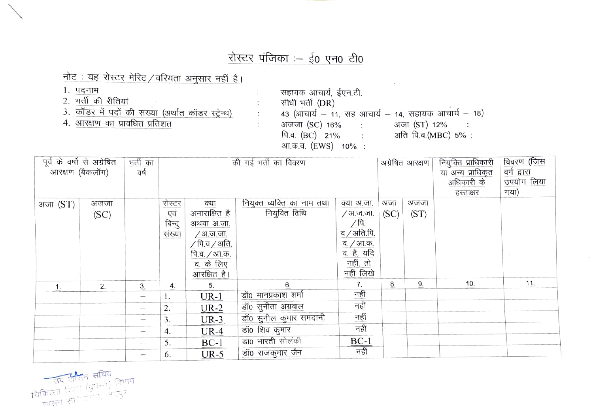## रोस्टर पंजिका :- ई0 एन0 टी0

 $\ddot{\phantom{a}}$  .

 $\ddot{\cdot}$ 

÷.

नोट: यह रोस्टर मेरिट / वरियता अनुसार नहीं है।

- 1. पदनाम
- 2. भर्ती की रीतियां
- 3. कॉडर में पदों की संख्या (अर्थात कॉडर स्ट्रेन्थ)
- 4. आरक्षण का प्रावधित प्रतिशत

सहायक आचार्य, ईएन.टी. सीधी भर्ती (DR) 43 (आंचार्य - 11, सह आचार्य - 14, सहायक आचार्य - 18) अजजा (SC) 16%: अजा (ST) 12%  $\sim$  1 पि.व.  $(BC)$  21% : अति पि.व.(MBC) 5%: आ.क.व. (EWS) 10% :

| पूर्व के वर्षो से अग्रेषित<br>भर्ती का<br><sup>े</sup> आरक्षण (बैकलॉग)<br>वर्ष |              | की गई भर्ती का विवरण |                                          |                                                                                                                                    |                                             | अग्रेषित आरक्षण                                                            |             | नियुक्ति प्राधिकारी<br>या अन्य प्राधिकृत<br>अधिकारी के<br>हस्ताक्षर | विवरण (जिस<br>वर्ग द्वारा<br>उपयोग लिया<br>गया) |     |
|--------------------------------------------------------------------------------|--------------|----------------------|------------------------------------------|------------------------------------------------------------------------------------------------------------------------------------|---------------------------------------------|----------------------------------------------------------------------------|-------------|---------------------------------------------------------------------|-------------------------------------------------|-----|
| अजा (ST)                                                                       | अजजा<br>(SC) |                      | <u>रोस्टर</u><br>एवं<br>बिन्दु<br>संख्या | <u>क्या</u><br>अनाराक्षित है<br>अथवा अ.जा.<br>/अ.ज.जा.<br>$\sqrt{p}$ .व $\sqrt{3}$ ति.<br>पि.व. / आ.क.<br>व. के लिए<br>आरक्षित है। | नियुक्त व्यक्ति का नाम तथा<br>नियुक्ति तिथि | क्या अ.जा.<br>/अ.ज.जा.<br>व. / आ.क.<br>व. है, यदि<br>नहीं, तो<br>नहीं लिखे | अजा<br>(SC) | अजजा<br>(ST)                                                        |                                                 |     |
| $\mathbf{1}$ .                                                                 | 2.           | $\overline{3}$ .     | 4.                                       | 5.                                                                                                                                 | 6.                                          | $\mathbf{Z}$                                                               | 8.          | 9.                                                                  | 10.                                             | 11. |
|                                                                                |              |                      |                                          | $UR-1$                                                                                                                             | डॉ0 मानप्रकाश शर्मा                         | नहीं                                                                       |             |                                                                     |                                                 |     |
|                                                                                |              |                      | 2.                                       | $UR-2$                                                                                                                             | डॉ0 सुनीता अग्रवाल                          | नहीं                                                                       |             |                                                                     |                                                 |     |
|                                                                                |              |                      | 3.                                       | $UR-3$                                                                                                                             | डॉ0 सुनील कुमार समदानी                      | नहीं                                                                       |             |                                                                     |                                                 |     |
|                                                                                |              |                      | 4.                                       | $UR-4$                                                                                                                             | डॉ0 शिव कुमार                               | नहीं                                                                       |             |                                                                     |                                                 |     |
|                                                                                |              |                      | 5.                                       | $BC-1$                                                                                                                             | डा0 भारती सोलंकी                            | $rac{-1}{76}$                                                              |             |                                                                     |                                                 |     |
|                                                                                |              |                      | 6.                                       | $UR-5$                                                                                                                             | डॉ0 राजकुमार जैन                            |                                                                            |             |                                                                     |                                                 |     |

्त्य सीसन सचिव<br>चिकित्सा शिक्षा (सुपन-१) विभाग<br>चाउँमन सन्दिनगण, लेकपुर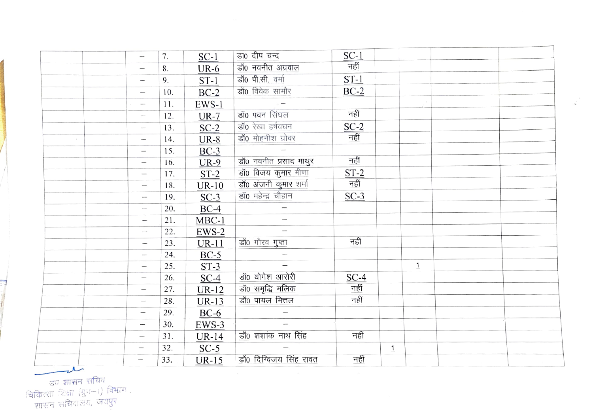|                          |                                  | 7.  | $SC-1$      | डा0 दीप चन्द             | $\frac{\text{SC-1}}{\text{refi}}$    |              |                |  |
|--------------------------|----------------------------------|-----|-------------|--------------------------|--------------------------------------|--------------|----------------|--|
|                          |                                  | 8.  | $UR-6$      | डॉ0 नवनीत अग्रवाल        |                                      |              |                |  |
|                          |                                  | 9.  | $ST-1$      | डॉ0 पी.सी. वर्मा         | $ST-1$                               |              |                |  |
|                          |                                  | 10. | $BC-2$      | डॉ0 विवेक सामौर          | $BC-2$                               |              |                |  |
|                          |                                  | 11. | EWS-1       | $\sim$ $-$               |                                      |              |                |  |
|                          |                                  | 12. | $UR-7$      | डॉ0 पवन सिंघल            | नहीं                                 |              |                |  |
|                          |                                  | 13. | $SC-2$      | डॉ0 रेखा हर्षवघन         | $SC-2$                               |              |                |  |
| $\sim$                   |                                  | 14. | $UR-8$      | डॉ0 मोहनीश ग्रोवर        | नहीं                                 |              |                |  |
|                          |                                  | 15. | $BC-3$      | $\overline{\phantom{a}}$ |                                      |              |                |  |
|                          | $\overline{\phantom{0}}$         | 16. | <b>UR-9</b> | डॉ0 नवनीत प्रसाद माथुर   | नहीं                                 |              |                |  |
|                          |                                  | 17. | $ST-2$      | डॉ0 विजय कुमार मीणा      | $\frac{\text{ST-2}}{\text{H}}$       |              |                |  |
|                          |                                  | 18. | $UR-10$     | डॉ0 अंजनी कुमार शर्मा    |                                      |              |                |  |
|                          | $\overbrace{\qquad \qquad }^{}$  | 19. | $SC-3$      | डॉ0 महेन्द्र चौहान       | $SC-3$                               |              |                |  |
|                          | $\overline{\phantom{0}}$         | 20. | $BC-4$      |                          |                                      |              |                |  |
|                          |                                  | 21. | $MBC-1$     | $\overline{\phantom{m}}$ |                                      |              |                |  |
|                          | $\overbrace{\phantom{12322111}}$ | 22. | $EWS-2$     |                          |                                      |              |                |  |
|                          | $\overline{\phantom{0}}$         | 23. | $UR-11$     | डॉ0 गौरव गुप्ता          | नहीं                                 |              |                |  |
|                          |                                  | 24. | $BC-5$      |                          |                                      |              |                |  |
|                          |                                  | 25. | $ST-3$      |                          |                                      |              | $\overline{1}$ |  |
|                          |                                  | 26. | $SC-4$      | डॉ0 योगेश आसेरी          | $\frac{\text{SC-4}}{\frac{781}{15}}$ |              |                |  |
|                          | $\overline{\phantom{0}}$         | 27. | $UR-12$     | डॉ0 समृद्धि मलिक         |                                      |              |                |  |
|                          |                                  | 28. | $UR-13$     | डॉ0 पायल मित्तल          |                                      |              |                |  |
|                          | $\overline{\phantom{0}}$         | 29. | $BC-6$      |                          |                                      |              |                |  |
|                          |                                  | 30. | $EWS-3$     |                          |                                      |              |                |  |
|                          |                                  | 31. | $UR-14$     | डॉ0 शशांक नाथ सिंह       | नहीं                                 |              |                |  |
|                          |                                  | 32. | $SC-5$      |                          |                                      | $\mathbf{1}$ |                |  |
| $\overline{\mathcal{N}}$ |                                  | 33. | $UR-15$     | डॉ0 दिग्विजय सिंह रावत   | नहीं                                 |              |                |  |

्रान्तुः ।<br>चिकित्सा शिक्षा (गुप–।) विभाग ।<br>शासन सचिवालय, जयपुर